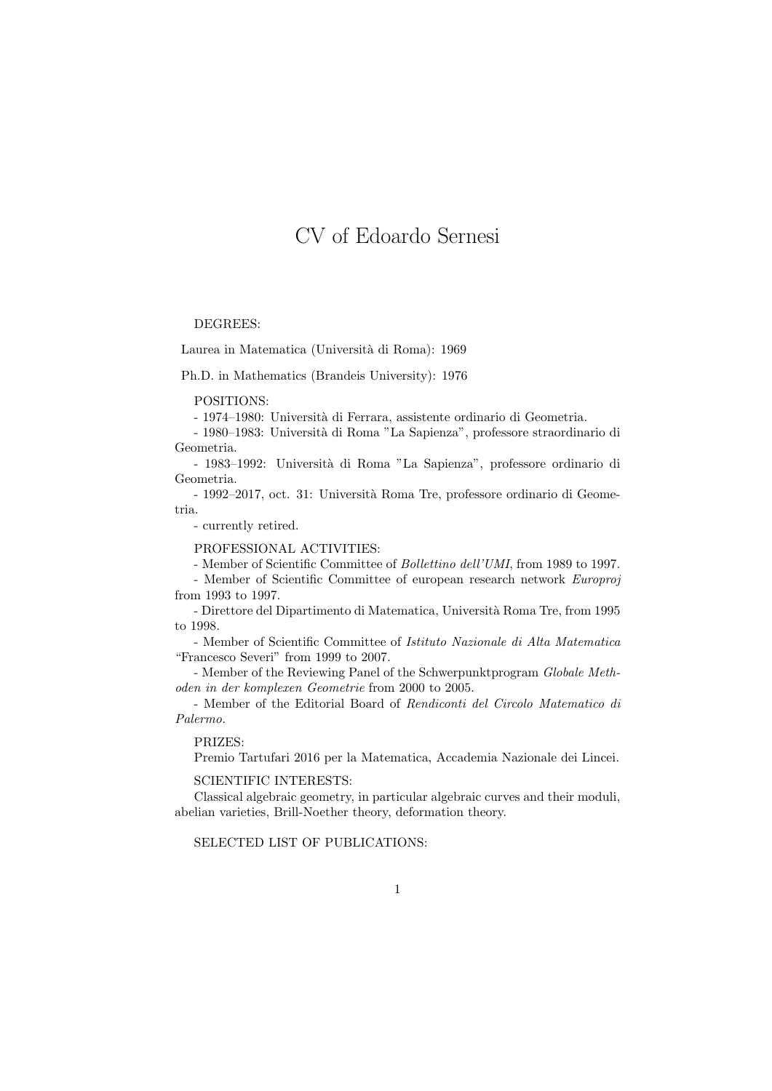# CV of Edoardo Sernesi

## DEGREES:

Laurea in Matematica (Università di Roma): 1969

Ph.D. in Mathematics (Brandeis University): 1976

POSITIONS:

- 1974–1980: Università di Ferrara, assistente ordinario di Geometria.

- 1980–1983: Universit`a di Roma "La Sapienza", professore straordinario di Geometria.

- 1983–1992: Universit`a di Roma "La Sapienza", professore ordinario di Geometria.

- 1992–2017, oct. 31: Universit`a Roma Tre, professore ordinario di Geometria.

- currently retired.

PROFESSIONAL ACTIVITIES:

- Member of Scientific Committee of Bollettino dell'UMI, from 1989 to 1997.

- Member of Scientific Committee of european research network Europroj from 1993 to 1997.

- Direttore del Dipartimento di Matematica, Università Roma Tre, from 1995 to 1998.

- Member of Scientific Committee of Istituto Nazionale di Alta Matematica "Francesco Severi" from 1999 to 2007.

- Member of the Reviewing Panel of the Schwerpunktprogram Globale Methoden in der komplexen Geometrie from 2000 to 2005.

- Member of the Editorial Board of Rendiconti del Circolo Matematico di Palermo.

## PRIZES:

Premio Tartufari 2016 per la Matematica, Accademia Nazionale dei Lincei.

SCIENTIFIC INTERESTS:

Classical algebraic geometry, in particular algebraic curves and their moduli, abelian varieties, Brill-Noether theory, deformation theory.

SELECTED LIST OF PUBLICATIONS: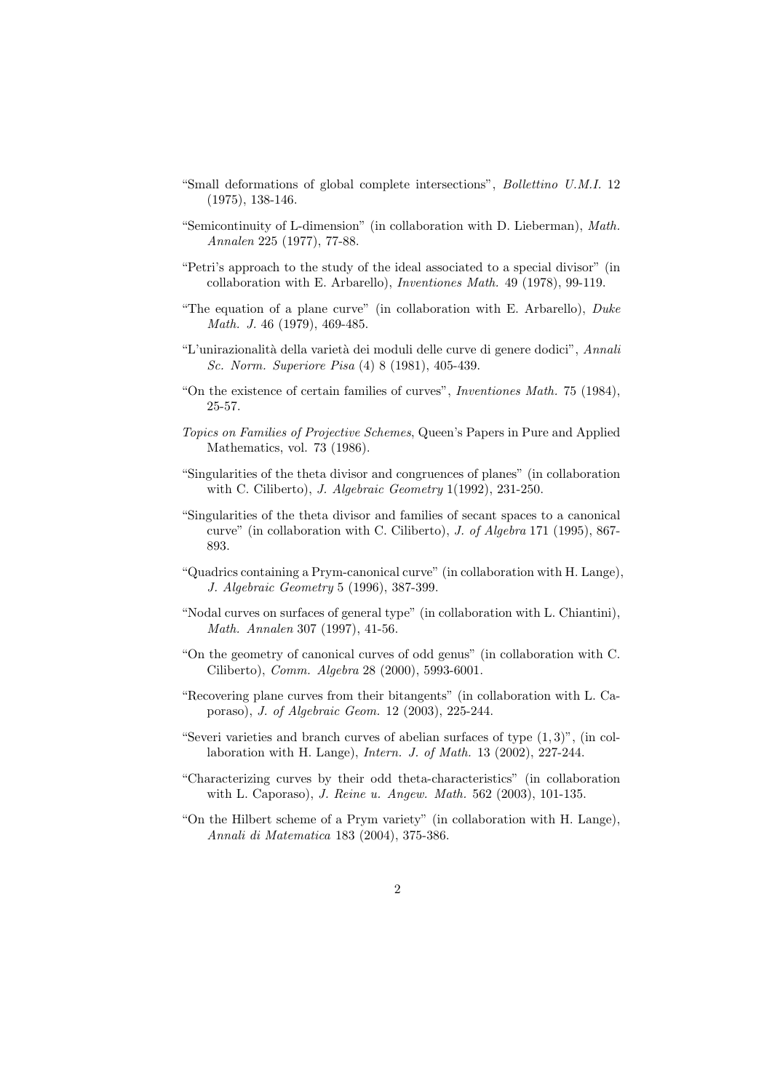- "Small deformations of global complete intersections", Bollettino U.M.I. 12 (1975), 138-146.
- "Semicontinuity of L-dimension" (in collaboration with D. Lieberman), Math. Annalen 225 (1977), 77-88.
- "Petri's approach to the study of the ideal associated to a special divisor" (in collaboration with E. Arbarello), Inventiones Math. 49 (1978), 99-119.
- "The equation of a plane curve" (in collaboration with E. Arbarello),  $Duke$ Math. J. 46 (1979), 469-485.
- "L'unirazionalità della varietà dei moduli delle curve di genere dodici", Annali Sc. Norm. Superiore Pisa (4) 8 (1981), 405-439.
- "On the existence of certain families of curves", Inventiones Math. 75 (1984), 25-57.
- Topics on Families of Projective Schemes, Queen's Papers in Pure and Applied Mathematics, vol. 73 (1986).
- "Singularities of the theta divisor and congruences of planes" (in collaboration with C. Ciliberto), J. Algebraic Geometry 1(1992), 231-250.
- "Singularities of the theta divisor and families of secant spaces to a canonical curve" (in collaboration with C. Ciliberto), J. of Algebra 171 (1995), 867- 893.
- "Quadrics containing a Prym-canonical curve" (in collaboration with H. Lange), J. Algebraic Geometry 5 (1996), 387-399.
- "Nodal curves on surfaces of general type" (in collaboration with L. Chiantini), Math. Annalen 307 (1997), 41-56.
- "On the geometry of canonical curves of odd genus" (in collaboration with C. Ciliberto), Comm. Algebra 28 (2000), 5993-6001.
- "Recovering plane curves from their bitangents" (in collaboration with L. Caporaso), J. of Algebraic Geom. 12 (2003), 225-244.
- "Severi varieties and branch curves of abelian surfaces of type  $(1,3)$ ", (in collaboration with H. Lange), Intern. J. of Math. 13 (2002), 227-244.
- "Characterizing curves by their odd theta-characteristics" (in collaboration with L. Caporaso), J. Reine u. Angew. Math. 562 (2003), 101-135.
- "On the Hilbert scheme of a Prym variety" (in collaboration with H. Lange), Annali di Matematica 183 (2004), 375-386.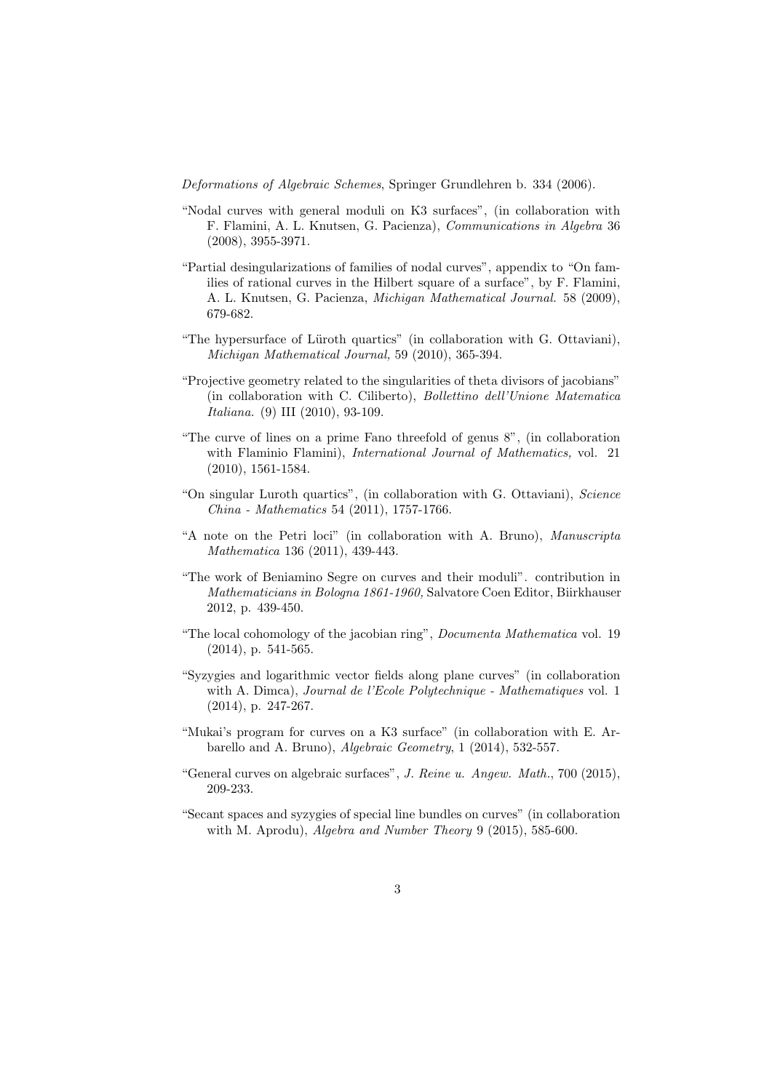Deformations of Algebraic Schemes, Springer Grundlehren b. 334 (2006).

- "Nodal curves with general moduli on K3 surfaces", (in collaboration with F. Flamini, A. L. Knutsen, G. Pacienza), Communications in Algebra 36 (2008), 3955-3971.
- "Partial desingularizations of families of nodal curves", appendix to "On families of rational curves in the Hilbert square of a surface", by F. Flamini, A. L. Knutsen, G. Pacienza, Michigan Mathematical Journal. 58 (2009), 679-682.
- "The hypersurface of Lüroth quartics" (in collaboration with G. Ottaviani), Michigan Mathematical Journal, 59 (2010), 365-394.
- "Projective geometry related to the singularities of theta divisors of jacobians" (in collaboration with C. Ciliberto), Bollettino dell'Unione Matematica Italiana. (9) III (2010), 93-109.
- "The curve of lines on a prime Fano threefold of genus 8", (in collaboration with Flaminio Flamini), *International Journal of Mathematics*, vol. 21 (2010), 1561-1584.
- "On singular Luroth quartics", (in collaboration with G. Ottaviani), Science China - Mathematics 54 (2011), 1757-1766.
- "A note on the Petri loci" (in collaboration with A. Bruno), Manuscripta Mathematica 136 (2011), 439-443.
- "The work of Beniamino Segre on curves and their moduli". contribution in Mathematicians in Bologna 1861-1960, Salvatore Coen Editor, Biirkhauser 2012, p. 439-450.
- "The local cohomology of the jacobian ring", Documenta Mathematica vol. 19 (2014), p. 541-565.
- "Syzygies and logarithmic vector fields along plane curves" (in collaboration with A. Dimca), Journal de l'Ecole Polytechnique - Mathematiques vol. 1 (2014), p. 247-267.
- "Mukai's program for curves on a K3 surface" (in collaboration with E. Arbarello and A. Bruno), Algebraic Geometry, 1 (2014), 532-557.
- "General curves on algebraic surfaces", J. Reine u. Angew. Math., 700 (2015), 209-233.
- "Secant spaces and syzygies of special line bundles on curves" (in collaboration with M. Aprodu), Algebra and Number Theory 9 (2015), 585-600.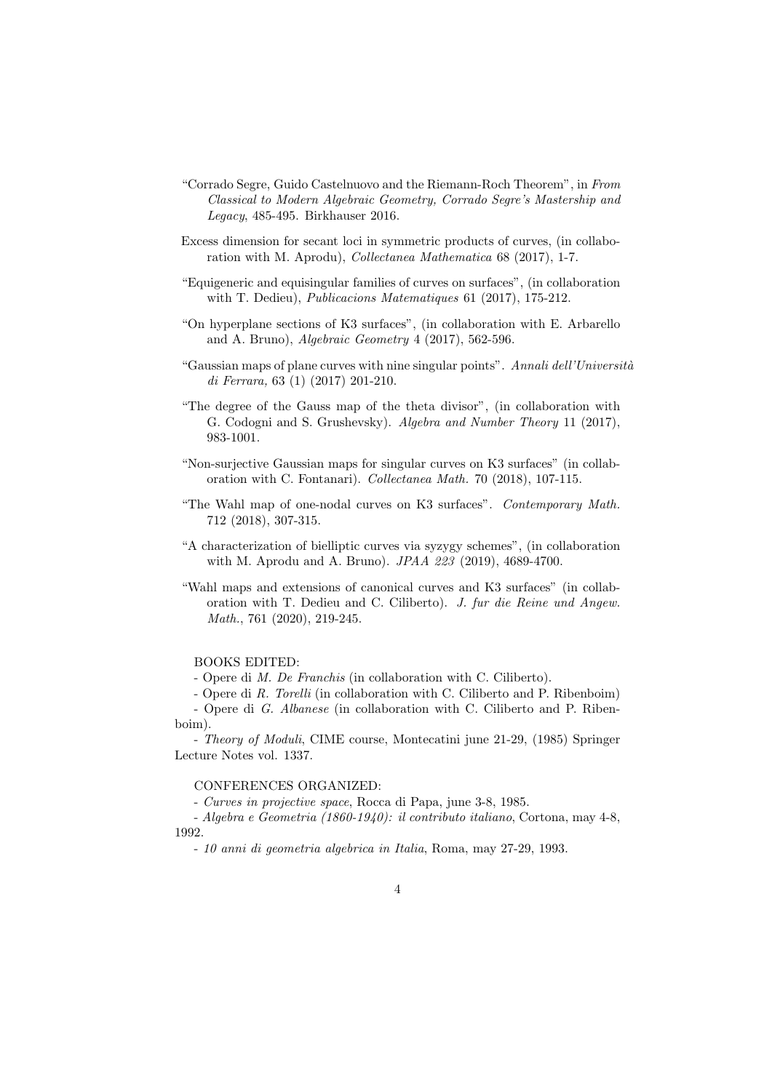- "Corrado Segre, Guido Castelnuovo and the Riemann-Roch Theorem", in From Classical to Modern Algebraic Geometry, Corrado Segre's Mastership and Legacy, 485-495. Birkhauser 2016.
- Excess dimension for secant loci in symmetric products of curves, (in collaboration with M. Aprodu), Collectanea Mathematica 68 (2017), 1-7.
- "Equigeneric and equisingular families of curves on surfaces", (in collaboration with T. Dedieu), Publicacions Matematiques 61 (2017), 175-212.
- "On hyperplane sections of K3 surfaces", (in collaboration with E. Arbarello and A. Bruno), Algebraic Geometry 4 (2017), 562-596.
- "Gaussian maps of plane curves with nine singular points". Annali dell'Università di Ferrara, 63 (1) (2017) 201-210.
- "The degree of the Gauss map of the theta divisor", (in collaboration with G. Codogni and S. Grushevsky). Algebra and Number Theory 11 (2017), 983-1001.
- "Non-surjective Gaussian maps for singular curves on K3 surfaces" (in collaboration with C. Fontanari). Collectanea Math. 70 (2018), 107-115.
- "The Wahl map of one-nodal curves on K3 surfaces". Contemporary Math. 712 (2018), 307-315.
- "A characterization of bielliptic curves via syzygy schemes", (in collaboration with M. Aprodu and A. Bruno). JPAA 223 (2019), 4689-4700.
- "Wahl maps and extensions of canonical curves and K3 surfaces" (in collaboration with T. Dedieu and C. Ciliberto). J. fur die Reine und Angew. Math., 761 (2020), 219-245.

# BOOKS EDITED:

- Opere di M. De Franchis (in collaboration with C. Ciliberto).

- Opere di R. Torelli (in collaboration with C. Ciliberto and P. Ribenboim) - Opere di G. Albanese (in collaboration with C. Ciliberto and P. Riben-

boim).

- Theory of Moduli, CIME course, Montecatini june 21-29, (1985) Springer Lecture Notes vol. 1337.

# CONFERENCES ORGANIZED:

- Curves in projective space, Rocca di Papa, june 3-8, 1985.

- Algebra e Geometria (1860-1940): il contributo italiano, Cortona, may 4-8, 1992.

- 10 anni di geometria algebrica in Italia, Roma, may 27-29, 1993.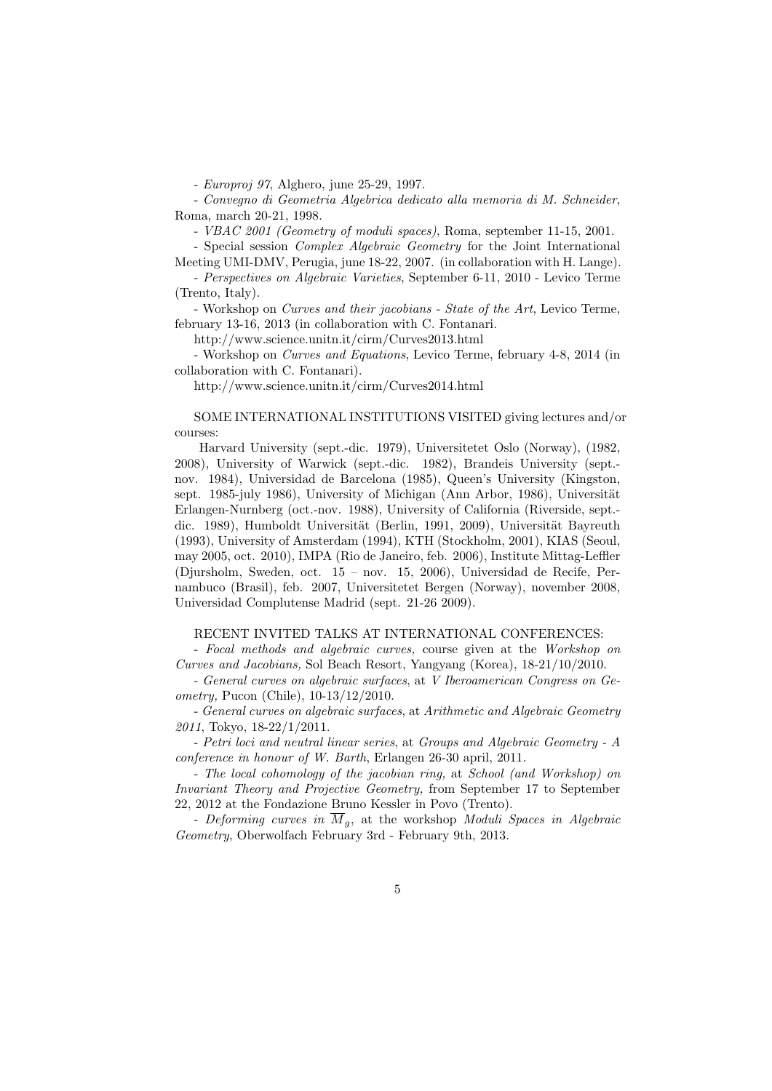- Europroj 97, Alghero, june 25-29, 1997.

- Convegno di Geometria Algebrica dedicato alla memoria di M. Schneider, Roma, march 20-21, 1998.

- VBAC 2001 (Geometry of moduli spaces), Roma, september 11-15, 2001.

- Special session Complex Algebraic Geometry for the Joint International Meeting UMI-DMV, Perugia, june 18-22, 2007. (in collaboration with H. Lange).

- Perspectives on Algebraic Varieties, September 6-11, 2010 - Levico Terme (Trento, Italy).

- Workshop on Curves and their jacobians - State of the Art, Levico Terme, february 13-16, 2013 (in collaboration with C. Fontanari.

http://www.science.unitn.it/cirm/Curves2013.html

- Workshop on Curves and Equations, Levico Terme, february 4-8, 2014 (in collaboration with C. Fontanari).

http://www.science.unitn.it/cirm/Curves2014.html

SOME INTERNATIONAL INSTITUTIONS VISITED giving lectures and/or courses:

Harvard University (sept.-dic. 1979), Universitetet Oslo (Norway), (1982, 2008), University of Warwick (sept.-dic. 1982), Brandeis University (sept. nov. 1984), Universidad de Barcelona (1985), Queen's University (Kingston, sept. 1985-july 1986), University of Michigan (Ann Arbor, 1986), Universität Erlangen-Nurnberg (oct.-nov. 1988), University of California (Riverside, sept. dic. 1989), Humboldt Universität (Berlin, 1991, 2009), Universität Bayreuth (1993), University of Amsterdam (1994), KTH (Stockholm, 2001), KIAS (Seoul, may 2005, oct. 2010), IMPA (Rio de Janeiro, feb. 2006), Institute Mittag-Leffler (Djursholm, Sweden, oct. 15 – nov. 15, 2006), Universidad de Recife, Pernambuco (Brasil), feb. 2007, Universitetet Bergen (Norway), november 2008, Universidad Complutense Madrid (sept. 21-26 2009).

#### RECENT INVITED TALKS AT INTERNATIONAL CONFERENCES:

- Focal methods and algebraic curves, course given at the Workshop on Curves and Jacobians, Sol Beach Resort, Yangyang (Korea), 18-21/10/2010.

- General curves on algebraic surfaces, at V Iberoamerican Congress on Geometry, Pucon (Chile), 10-13/12/2010.

- General curves on algebraic surfaces, at Arithmetic and Algebraic Geometry 2011, Tokyo, 18-22/1/2011.

- Petri loci and neutral linear series, at Groups and Algebraic Geometry - A conference in honour of W. Barth, Erlangen 26-30 april, 2011.

- The local cohomology of the jacobian ring, at School (and Workshop) on Invariant Theory and Projective Geometry, from September 17 to September 22, 2012 at the Fondazione Bruno Kessler in Povo (Trento).

- Deforming curves in  $\overline{M}_q$ , at the workshop Moduli Spaces in Algebraic Geometry, Oberwolfach February 3rd - February 9th, 2013.